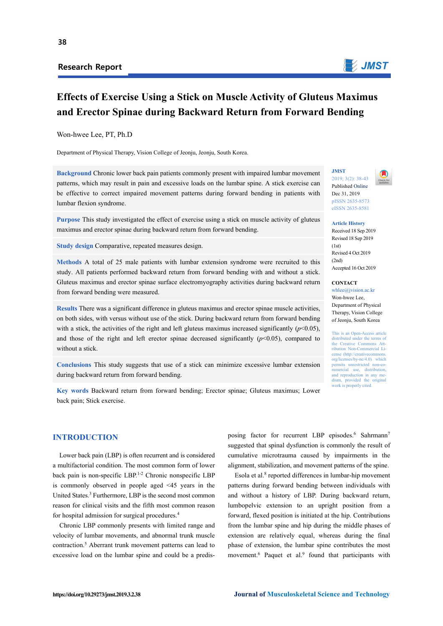## **Research Report**



# **Effects of Exercise Using a Stick on Muscle Activity of Gluteus Maximus and Erector Spinae during Backward Return from Forward Bending**

Won-hwee Lee, PT, Ph.D

Department of Physical Therapy, Vision College of Jeonju, Jeonju, South Korea.

**Background** Chronic lower back pain patients commonly present with impaired lumbar movement patterns, which may result in pain and excessive loads on the lumbar spine. A stick exercise can be effective to correct impaired movement patterns during forward bending in patients with lumbar flexion syndrome.

**Purpose** This study investigated the effect of exercise using a stick on muscle activity of gluteus maximus and erector spinae during backward return from forward bending.

**Study design** Comparative, repeated measures design.

**Methods** A total of 25 male patients with lumbar extension syndrome were recruited to this study. All patients performed backward return from forward bending with and without a stick. Gluteus maximus and erector spinae surface electromyography activities during backward return from forward bending were measured.

**Results** There was a significant difference in gluteus maximus and erector spinae muscle activities, on both sides, with versus without use of the stick. During backward return from forward bending with a stick, the activities of the right and left gluteus maximus increased significantly  $(p<0.05)$ , and those of the right and left erector spinae decreased significantly  $(p<0.05)$ , compared to without a stick.

**Conclusions** This study suggests that use of a stick can minimize excessive lumbar extension during backward return from forward bending.

**Key words** Backward return from forward bending; Erector spinae; Gluteus maximus; Lower back pain; Stick exercise.

# **INTRODUCTION**

Lower back pain (LBP) is often recurrent and is considered a multifactorial condition. The most common form of lower back pain is non-specific LBP.<sup>1-2</sup> Chronic nonspecific LBP is commonly observed in people aged <45 years in the United States.3 Furthermore, LBP is the second most common reason for clinical visits and the fifth most common reason for hospital admission for surgical procedures.4

Chronic LBP commonly presents with limited range and velocity of lumbar movements, and abnormal trunk muscle contraction.<sup>5</sup> Aberrant trunk movement patterns can lead to excessive load on the lumbar spine and could be a predis-

posing factor for recurrent LBP episodes.<sup>6</sup> Sahrmann<sup>7</sup> suggested that spinal dysfunction is commonly the result of cumulative microtrauma caused by impairments in the alignment, stabilization, and movement patterns of the spine.

Esola et al.8 reported differences in lumbar-hip movement patterns during forward bending between individuals with and without a history of LBP. During backward return, lumbopelvic extension to an upright position from a forward, flexed position is initiated at the hip. Contributions from the lumbar spine and hip during the middle phases of extension are relatively equal, whereas during the final phase of extension, the lumbar spine contributes the most movement.<sup>6</sup> Paquet et al.<sup>9</sup> found that participants with

**JMST**  2019; 3(2): 38-43 Published Online

Dec 31, 2019 pISSN 2635-8573 eISSN 2635-8581

**Article History**  Received 18 Sep 2019 Revised 18 Sep 2019  $(1st)$ Revised 4 Oct 2019  $(2nd)$ Accepted 16 Oct 2019

**CONTACT** 

whlee@jvision.ac.kr Won-hwee Lee, Department of Physical Therapy, Vision College of Jeonju, South Korea

This is an Open-Access article distributed under the terms of the Creative Commons Attribution Non-Commercial License (http://creativecomm org/licenses/by-nc/4.0) which permits unrestricted non-commercial use, distribution. and reproduction in any medium, provided the original work is properly cited.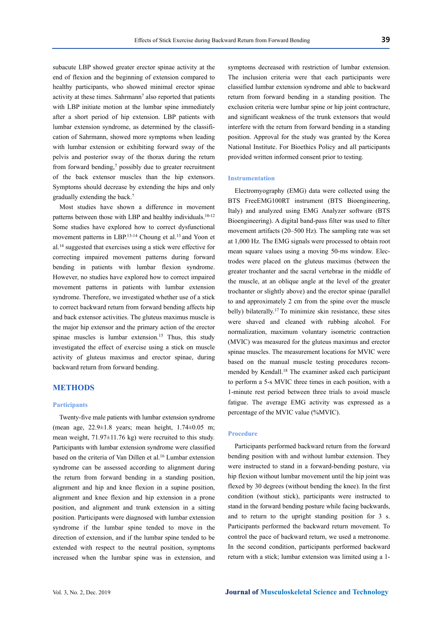subacute LBP showed greater erector spinae activity at the end of flexion and the beginning of extension compared to healthy participants, who showed minimal erector spinae activity at these times. Sahrmann<sup>7</sup> also reported that patients with LBP initiate motion at the lumbar spine immediately after a short period of hip extension. LBP patients with lumbar extension syndrome, as determined by the classification of Sahrmann, showed more symptoms when leading with lumbar extension or exhibiting forward sway of the pelvis and posterior sway of the thorax during the return from forward bending, $\frac{7}{7}$  possibly due to greater recruitment of the back extensor muscles than the hip extensors. Symptoms should decrease by extending the hips and only gradually extending the back.7

Most studies have shown a difference in movement patterns between those with LBP and healthy individuals.<sup>10-12</sup> Some studies have explored how to correct dysfunctional movement patterns in LBP.13-14 Choung et al.13 and Yoon et al.14 suggested that exercises using a stick were effective for correcting impaired movement patterns during forward bending in patients with lumbar flexion syndrome. However, no studies have explored how to correct impaired movement patterns in patients with lumbar extension syndrome. Therefore, we investigated whether use of a stick to correct backward return from forward bending affects hip and back extensor activities. The gluteus maximus muscle is the major hip extensor and the primary action of the erector spinae muscles is lumbar extension.<sup>15</sup> Thus, this study investigated the effect of exercise using a stick on muscle activity of gluteus maximus and erector spinae, during backward return from forward bending.

## **METHODS**

### **Participants**

Twenty-five male patients with lumbar extension syndrome (mean age, 22.9±1.8 years; mean height, 1.74±0.05 m; mean weight, 71.97±11.76 kg) were recruited to this study. Participants with lumbar extension syndrome were classified based on the criteria of Van Dillen et al.<sup>16</sup> Lumbar extension syndrome can be assessed according to alignment during the return from forward bending in a standing position, alignment and hip and knee flexion in a supine position, alignment and knee flexion and hip extension in a prone position, and alignment and trunk extension in a sitting position. Participants were diagnosed with lumbar extension syndrome if the lumbar spine tended to move in the direction of extension, and if the lumbar spine tended to be extended with respect to the neutral position, symptoms increased when the lumbar spine was in extension, and symptoms decreased with restriction of lumbar extension. The inclusion criteria were that each participants were classified lumbar extension syndrome and able to backward return from forward bending in a standing position. The exclusion criteria were lumbar spine or hip joint contracture, and significant weakness of the trunk extensors that would interfere with the return from forward bending in a standing position. Approval for the study was granted by the Korea National Institute. For Bioethics Policy and all participants provided written informed consent prior to testing.

#### **Instrumentation**

Electromyography (EMG) data were collected using the BTS FreeEMG100RT instrument (BTS Bioengineering, Italy) and analyzed using EMG Analyzer software (BTS Bioengineering). A digital band-pass filter was used to filter movement artifacts (20–500 Hz). The sampling rate was set at 1,000 Hz. The EMG signals were processed to obtain root mean square values using a moving 50-ms window. Electrodes were placed on the gluteus maximus (between the greater trochanter and the sacral vertebrae in the middle of the muscle, at an oblique angle at the level of the greater trochanter or slightly above) and the erector spinae (parallel to and approximately 2 cm from the spine over the muscle belly) bilaterally.<sup>17</sup> To minimize skin resistance, these sites were shaved and cleaned with rubbing alcohol. For normalization, maximum voluntary isometric contraction (MVIC) was measured for the gluteus maximus and erector spinae muscles. The measurement locations for MVIC were based on the manual muscle testing procedures recommended by Kendall.18 The examiner asked each participant to perform a 5-s MVIC three times in each position, with a 1-minute rest period between three trials to avoid muscle fatigue. The average EMG activity was expressed as a percentage of the MVIC value (%MVIC).

#### **Procedure**

Participants performed backward return from the forward bending position with and without lumbar extension. They were instructed to stand in a forward-bending posture, via hip flexion without lumbar movement until the hip joint was flexed by 30 degrees (without bending the knee). In the first condition (without stick), participants were instructed to stand in the forward bending posture while facing backwards, and to return to the upright standing position for 3 s. Participants performed the backward return movement. To control the pace of backward return, we used a metronome. In the second condition, participants performed backward return with a stick; lumbar extension was limited using a 1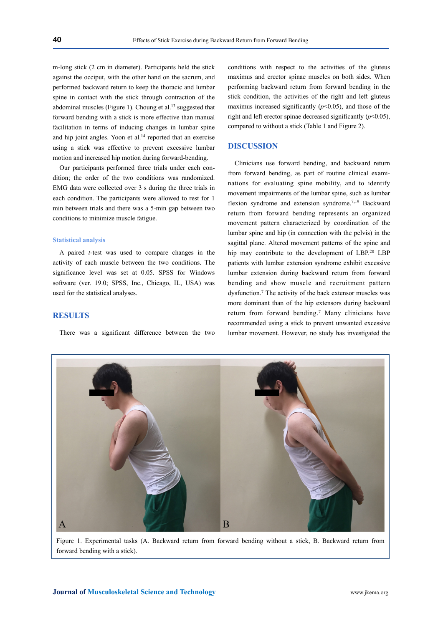m-long stick (2 cm in diameter). Participants held the stick against the occiput, with the other hand on the sacrum, and performed backward return to keep the thoracic and lumbar spine in contact with the stick through contraction of the abdominal muscles (Figure 1). Choung et al.<sup>13</sup> suggested that forward bending with a stick is more effective than manual facilitation in terms of inducing changes in lumbar spine and hip joint angles. Yoon et al.<sup>14</sup> reported that an exercise using a stick was effective to prevent excessive lumbar motion and increased hip motion during forward-bending.

Our participants performed three trials under each condition; the order of the two conditions was randomized. EMG data were collected over 3 s during the three trials in each condition. The participants were allowed to rest for 1 min between trials and there was a 5-min gap between two conditions to minimize muscle fatigue.

### **Statistical analysis**

A paired *t*-test was used to compare changes in the activity of each muscle between the two conditions. The significance level was set at 0.05. SPSS for Windows software (ver. 19.0; SPSS, Inc., Chicago, IL, USA) was used for the statistical analyses.

## **RESULTS**

There was a significant difference between the two

conditions with respect to the activities of the gluteus maximus and erector spinae muscles on both sides. When performing backward return from forward bending in the stick condition, the activities of the right and left gluteus maximus increased significantly  $(p<0.05)$ , and those of the right and left erector spinae decreased significantly (*p*<0.05), compared to without a stick (Table 1 and Figure 2).

## **DISCUSSION**

Clinicians use forward bending, and backward return from forward bending, as part of routine clinical examinations for evaluating spine mobility, and to identify movement impairments of the lumbar spine, such as lumbar flexion syndrome and extension syndrome.<sup>7,19</sup> Backward return from forward bending represents an organized movement pattern characterized by coordination of the lumbar spine and hip (in connection with the pelvis) in the sagittal plane. Altered movement patterns of the spine and hip may contribute to the development of LBP.<sup>20</sup> LBP patients with lumbar extension syndrome exhibit excessive lumbar extension during backward return from forward bending and show muscle and recruitment pattern dysfunction.7 The activity of the back extensor muscles was more dominant than of the hip extensors during backward return from forward bending.7 Many clinicians have recommended using a stick to prevent unwanted excessive lumbar movement. However, no study has investigated the



Figure 1. Experimental tasks (A. Backward return from forward bending without a stick, B. Backward return from forward bending with a stick).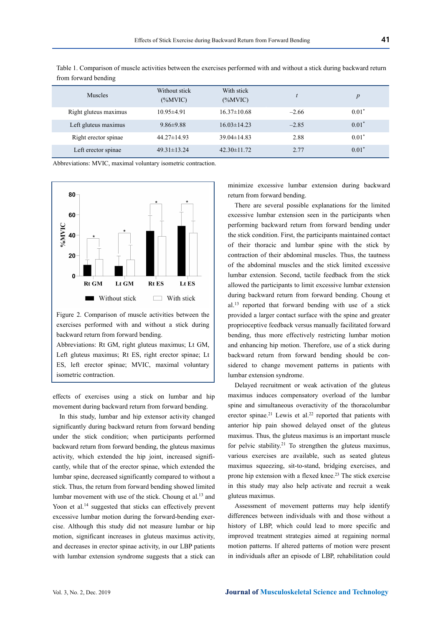| <b>Muscles</b>        | Without stick<br>$(\%MVIC)$ | With stick<br>$(\%MVIC)$ |         | $\boldsymbol{p}$ |
|-----------------------|-----------------------------|--------------------------|---------|------------------|
| Right gluteus maximus | $10.95 \pm 4.91$            | $16.37 \pm 10.68$        | $-2.66$ | $0.01*$          |
| Left gluteus maximus  | $9.86 \pm 9.88$             | $16.03\pm14.23$          | $-2.85$ | $0.01*$          |
| Right erector spinae  | $44.27 \pm 14.93$           | $39.04\pm14.83$          | 2.88    | $0.01*$          |
| Left erector spinae   | $49.31 \pm 13.24$           | $42.30 \pm 11.72$        | 2.77    | $0.01*$          |

Table 1. Comparison of muscle activities between the exercises performed with and without a stick during backward return from forward bending

Abbreviations: MVIC, maximal voluntary isometric contraction.



Figure 2. Comparison of muscle activities between the exercises performed with and without a stick during backward return from forward bending.

Abbreviations: Rt GM, right gluteus maximus; Lt GM, Left gluteus maximus; Rt ES, right erector spinae; Lt ES, left erector spinae; MVIC, maximal voluntary isometric contraction.

effects of exercises using a stick on lumbar and hip movement during backward return from forward bending.

In this study, lumbar and hip extensor activity changed significantly during backward return from forward bending under the stick condition; when participants performed backward return from forward bending, the gluteus maximus activity, which extended the hip joint, increased significantly, while that of the erector spinae, which extended the lumbar spine, decreased significantly compared to without a stick. Thus, the return from forward bending showed limited lumbar movement with use of the stick. Choung et al.13 and Yoon et al.<sup>14</sup> suggested that sticks can effectively prevent excessive lumbar motion during the forward-bending exercise. Although this study did not measure lumbar or hip motion, significant increases in gluteus maximus activity, and decreases in erector spinae activity, in our LBP patients with lumbar extension syndrome suggests that a stick can

minimize excessive lumbar extension during backward return from forward bending.

There are several possible explanations for the limited excessive lumbar extension seen in the participants when performing backward return from forward bending under the stick condition. First, the participants maintained contact of their thoracic and lumbar spine with the stick by contraction of their abdominal muscles. Thus, the tautness of the abdominal muscles and the stick limited excessive lumbar extension. Second, tactile feedback from the stick allowed the participants to limit excessive lumbar extension during backward return from forward bending. Choung et al.13 reported that forward bending with use of a stick provided a larger contact surface with the spine and greater proprioceptive feedback versus manually facilitated forward bending, thus more effectively restricting lumbar motion and enhancing hip motion. Therefore, use of a stick during backward return from forward bending should be considered to change movement patterns in patients with lumbar extension syndrome.

Delayed recruitment or weak activation of the gluteus maximus induces compensatory overload of the lumbar spine and simultaneous overactivity of the thoracolumbar erector spinae.<sup>21</sup> Lewis et al.<sup>22</sup> reported that patients with anterior hip pain showed delayed onset of the gluteus maximus. Thus, the gluteus maximus is an important muscle for pelvic stability.<sup>21</sup> To strengthen the gluteus maximus, various exercises are available, such as seated gluteus maximus squeezing, sit-to-stand, bridging exercises, and prone hip extension with a flexed knee.<sup>23</sup> The stick exercise in this study may also help activate and recruit a weak gluteus maximus.

Assessment of movement patterns may help identify differences between individuals with and those without a history of LBP, which could lead to more specific and improved treatment strategies aimed at regaining normal motion patterns. If altered patterns of motion were present in individuals after an episode of LBP, rehabilitation could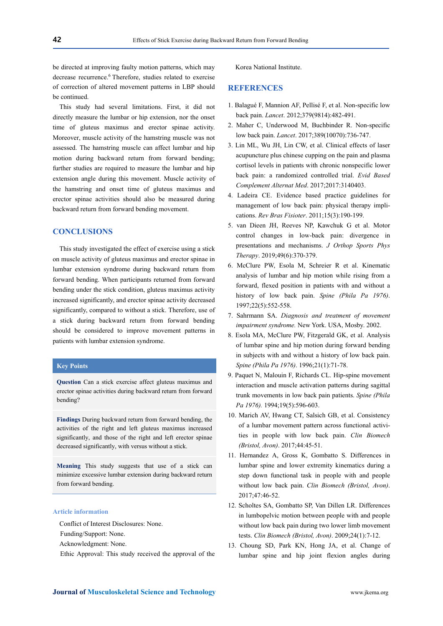be directed at improving faulty motion patterns, which may decrease recurrence.<sup>6</sup> Therefore, studies related to exercise of correction of altered movement patterns in LBP should be continued.

This study had several limitations. First, it did not directly measure the lumbar or hip extension, nor the onset time of gluteus maximus and erector spinae activity. Moreover, muscle activity of the hamstring muscle was not assessed. The hamstring muscle can affect lumbar and hip motion during backward return from forward bending; further studies are required to measure the lumbar and hip extension angle during this movement. Muscle activity of the hamstring and onset time of gluteus maximus and erector spinae activities should also be measured during backward return from forward bending movement.

# **CONCLUSIONS**

This study investigated the effect of exercise using a stick on muscle activity of gluteus maximus and erector spinae in lumbar extension syndrome during backward return from forward bending. When participants returned from forward bending under the stick condition, gluteus maximus activity increased significantly, and erector spinae activity decreased significantly, compared to without a stick. Therefore, use of a stick during backward return from forward bending should be considered to improve movement patterns in patients with lumbar extension syndrome.

## **Key Points**

**Question** Can a stick exercise affect gluteus maximus and erector spinae activities during backward return from forward bending?

**Findings** During backward return from forward bending, the activities of the right and left gluteus maximus increased significantly, and those of the right and left erector spinae decreased significantly, with versus without a stick.

**Meaning** This study suggests that use of a stick can minimize excessive lumbar extension during backward return from forward bending.

#### **Article information**

Conflict of Interest Disclosures: None.

- Funding/Support: None.
- Acknowledgment: None.

Ethic Approval: This study received the approval of the

Korea National Institute.

## **REFERENCES**

- 1. Balagué F, Mannion AF, Pellisé F, et al. Non-specific low back pain. *Lancet*. 2012;379(9814):482-491.
- 2. Maher C, Underwood M, Buchbinder R. Non-specific low back pain. *Lancet*. 2017;389(10070):736-747.
- 3. Lin ML, Wu JH, Lin CW, et al. Clinical effects of laser acupuncture plus chinese cupping on the pain and plasma cortisol levels in patients with chronic nonspecific lower back pain: a randomized controlled trial. *Evid Based Complement Alternat Med*. 2017;2017:3140403.
- 4. Ladeira CE. Evidence based practice guidelines for management of low back pain: physical therapy implications. *Rev Bras Fisioter*. 2011;15(3):190-199.
- 5. van Dieen JH, Reeves NP, Kawchuk G et al. Motor control changes in low-back pain: divergence in presentations and mechanisms. *J Orthop Sports Phys Therapy*. 2019;49(6):370-379.
- 6. McClure PW, Esola M, Schreier R et al. Kinematic analysis of lumbar and hip motion while rising from a forward, flexed position in patients with and without a history of low back pain. *Spine (Phila Pa 1976)*. 1997;22(5):552-558.
- 7. Sahrmann SA. *Diagnosis and treatment of movement impairment syndrome.* New York. USA, Mosby. 2002.
- 8. Esola MA, McClure PW, Fitzgerald GK, et al. Analysis of lumbar spine and hip motion during forward bending in subjects with and without a history of low back pain. *Spine (Phila Pa 1976)*. 1996;21(1):71-78.
- 9. Paquet N, Malouin F, Richards CL. Hip-spine movement interaction and muscle activation patterns during sagittal trunk movements in low back pain patients. *Spine (Phila Pa 1976).* 1994;19(5):596-603.
- 10. Marich AV, Hwang CT, Salsich GB, et al. Consistency of a lumbar movement pattern across functional activities in people with low back pain. *Clin Biomech (Bristol, Avon)*. 2017;44:45-51.
- 11. Hernandez A, Gross K, Gombatto S. Differences in lumbar spine and lower extremity kinematics during a step down functional task in people with and people without low back pain. *Clin Biomech (Bristol, Avon)*. 2017;47:46-52.
- 12. Scholtes SA, Gombatto SP, Van Dillen LR. Differences in lumbopelvic motion between people with and people without low back pain during two lower limb movement tests. *Clin Biomech (Bristol, Avon)*. 2009;24(1):7-12.
- 13. Choung SD, Park KN, Hong JA, et al. Change of lumbar spine and hip joint flexion angles during